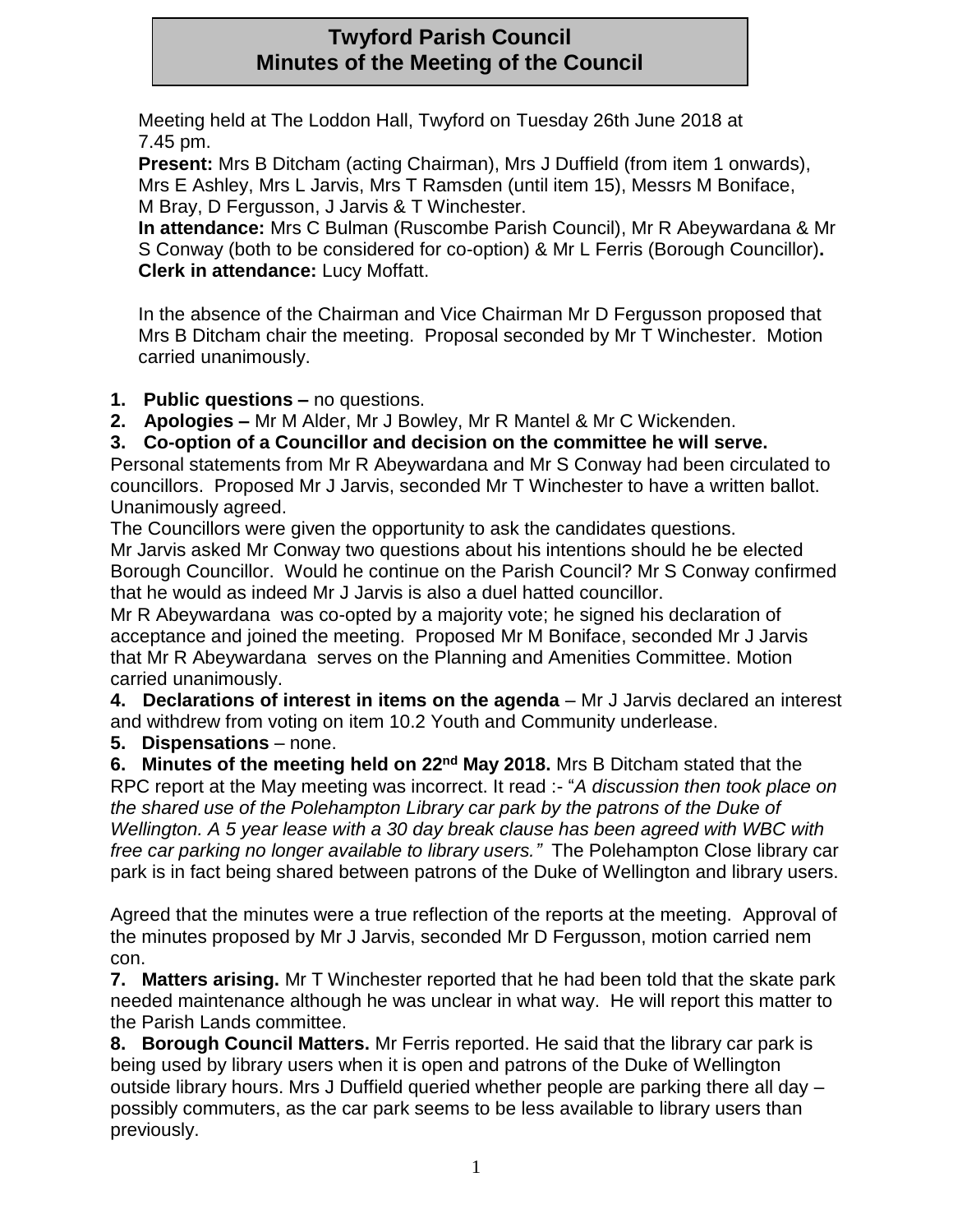# **Twyford Parish Council Minutes of the Meeting of the Council**

Meeting held at The Loddon Hall, Twyford on Tuesday 26th June 2018 at 7.45 pm.

**Present:** Mrs B Ditcham (acting Chairman), Mrs J Duffield (from item 1 onwards), Mrs E Ashley, Mrs L Jarvis, Mrs T Ramsden (until item 15), Messrs M Boniface, M Bray, D Fergusson, J Jarvis & T Winchester.

**In attendance:** Mrs C Bulman (Ruscombe Parish Council), Mr R Abeywardana & Mr S Conway (both to be considered for co-option) & Mr L Ferris (Borough Councillor)**. Clerk in attendance:** Lucy Moffatt.

In the absence of the Chairman and Vice Chairman Mr D Fergusson proposed that Mrs B Ditcham chair the meeting. Proposal seconded by Mr T Winchester. Motion carried unanimously.

**1. Public questions –** no questions.

**2. Apologies –** Mr M Alder, Mr J Bowley, Mr R Mantel & Mr C Wickenden.

**3. Co-option of a Councillor and decision on the committee he will serve.**

Personal statements from Mr R Abeywardana and Mr S Conway had been circulated to councillors. Proposed Mr J Jarvis, seconded Mr T Winchester to have a written ballot. Unanimously agreed.

The Councillors were given the opportunity to ask the candidates questions.

Mr Jarvis asked Mr Conway two questions about his intentions should he be elected Borough Councillor. Would he continue on the Parish Council? Mr S Conway confirmed that he would as indeed Mr J Jarvis is also a duel hatted councillor.

Mr R Abeywardana was co-opted by a majority vote; he signed his declaration of acceptance and joined the meeting. Proposed Mr M Boniface, seconded Mr J Jarvis that Mr R Abeywardana serves on the Planning and Amenities Committee. Motion carried unanimously.

**4. Declarations of interest in items on the agenda** – Mr J Jarvis declared an interest and withdrew from voting on item 10.2 Youth and Community underlease.

**5. Dispensations** – none.

**6. Minutes of the meeting held on 22nd May 2018.** Mrs B Ditcham stated that the RPC report at the May meeting was incorrect. It read :- "*A discussion then took place on the shared use of the Polehampton Library car park by the patrons of the Duke of Wellington. A 5 year lease with a 30 day break clause has been agreed with WBC with free car parking no longer available to library users."* The Polehampton Close library car park is in fact being shared between patrons of the Duke of Wellington and library users.

Agreed that the minutes were a true reflection of the reports at the meeting. Approval of the minutes proposed by Mr J Jarvis, seconded Mr D Fergusson, motion carried nem con.

**7. Matters arising.** Mr T Winchester reported that he had been told that the skate park needed maintenance although he was unclear in what way. He will report this matter to the Parish Lands committee.

**8. Borough Council Matters.** Mr Ferris reported. He said that the library car park is being used by library users when it is open and patrons of the Duke of Wellington outside library hours. Mrs J Duffield queried whether people are parking there all day – possibly commuters, as the car park seems to be less available to library users than previously.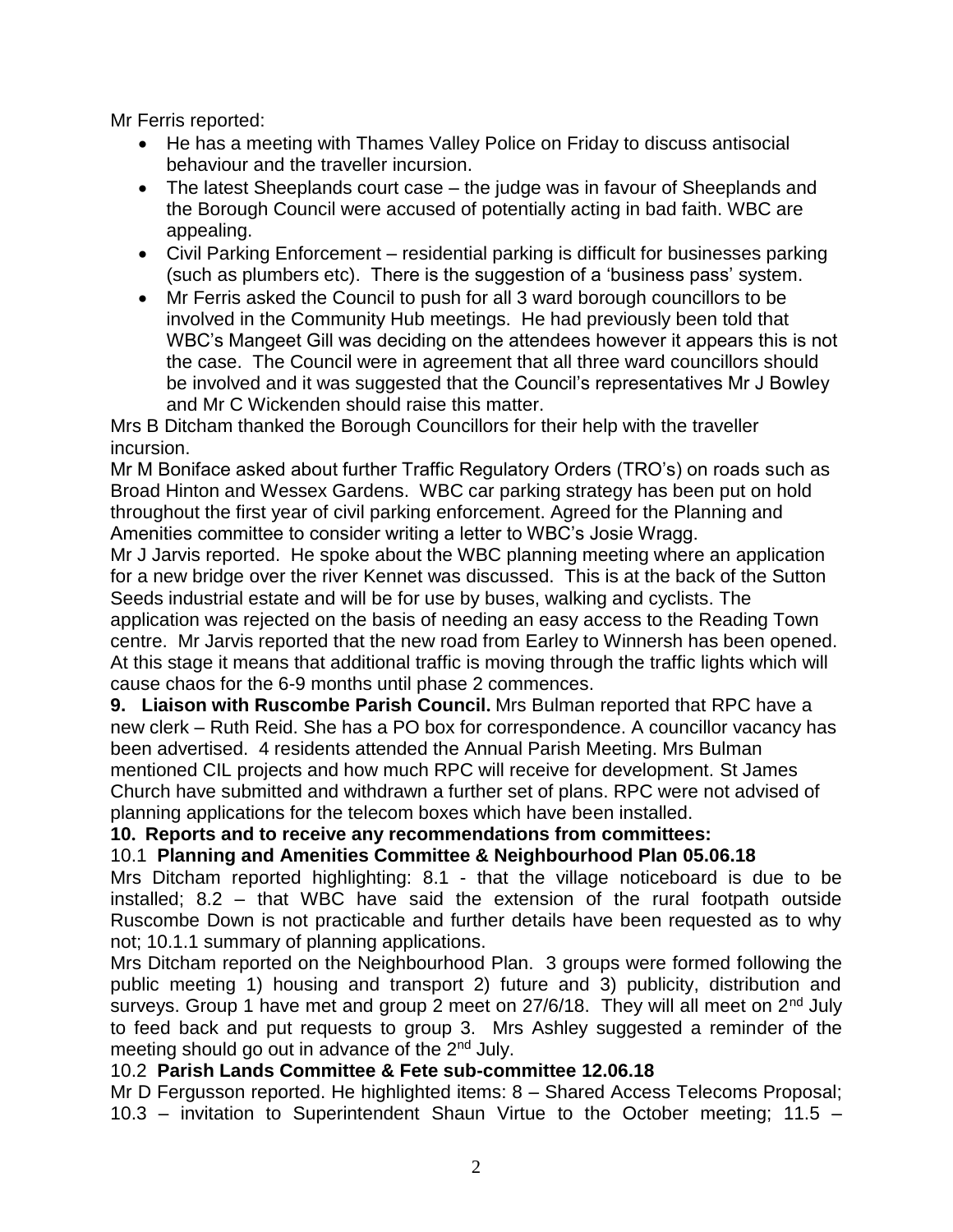Mr Ferris reported:

- He has a meeting with Thames Valley Police on Friday to discuss antisocial behaviour and the traveller incursion.
- The latest Sheeplands court case the judge was in favour of Sheeplands and the Borough Council were accused of potentially acting in bad faith. WBC are appealing.
- Civil Parking Enforcement residential parking is difficult for businesses parking (such as plumbers etc). There is the suggestion of a 'business pass' system.
- Mr Ferris asked the Council to push for all 3 ward borough councillors to be involved in the Community Hub meetings. He had previously been told that WBC's Mangeet Gill was deciding on the attendees however it appears this is not the case. The Council were in agreement that all three ward councillors should be involved and it was suggested that the Council's representatives Mr J Bowley and Mr C Wickenden should raise this matter.

Mrs B Ditcham thanked the Borough Councillors for their help with the traveller incursion.

Mr M Boniface asked about further Traffic Regulatory Orders (TRO's) on roads such as Broad Hinton and Wessex Gardens. WBC car parking strategy has been put on hold throughout the first year of civil parking enforcement. Agreed for the Planning and Amenities committee to consider writing a letter to WBC's Josie Wragg.

Mr J Jarvis reported. He spoke about the WBC planning meeting where an application for a new bridge over the river Kennet was discussed. This is at the back of the Sutton Seeds industrial estate and will be for use by buses, walking and cyclists. The application was rejected on the basis of needing an easy access to the Reading Town centre. Mr Jarvis reported that the new road from Earley to Winnersh has been opened. At this stage it means that additional traffic is moving through the traffic lights which will cause chaos for the 6-9 months until phase 2 commences.

**9. Liaison with Ruscombe Parish Council.** Mrs Bulman reported that RPC have a new clerk – Ruth Reid. She has a PO box for correspondence. A councillor vacancy has been advertised. 4 residents attended the Annual Parish Meeting. Mrs Bulman mentioned CIL projects and how much RPC will receive for development. St James Church have submitted and withdrawn a further set of plans. RPC were not advised of planning applications for the telecom boxes which have been installed.

### **10. Reports and to receive any recommendations from committees:**

## 10.1 **Planning and Amenities Committee & Neighbourhood Plan 05.06.18**

Mrs Ditcham reported highlighting: 8.1 - that the village noticeboard is due to be installed; 8.2 – that WBC have said the extension of the rural footpath outside Ruscombe Down is not practicable and further details have been requested as to why not; 10.1.1 summary of planning applications.

Mrs Ditcham reported on the Neighbourhood Plan. 3 groups were formed following the public meeting 1) housing and transport 2) future and 3) publicity, distribution and surveys. Group 1 have met and group 2 meet on  $27/6/18$ . They will all meet on  $2^{nd}$  July to feed back and put requests to group 3. Mrs Ashley suggested a reminder of the meeting should go out in advance of the 2<sup>nd</sup> July.

### 10.2 **Parish Lands Committee & Fete sub-committee 12.06.18**

Mr D Fergusson reported. He highlighted items: 8 – Shared Access Telecoms Proposal; 10.3 – invitation to Superintendent Shaun Virtue to the October meeting; 11.5 –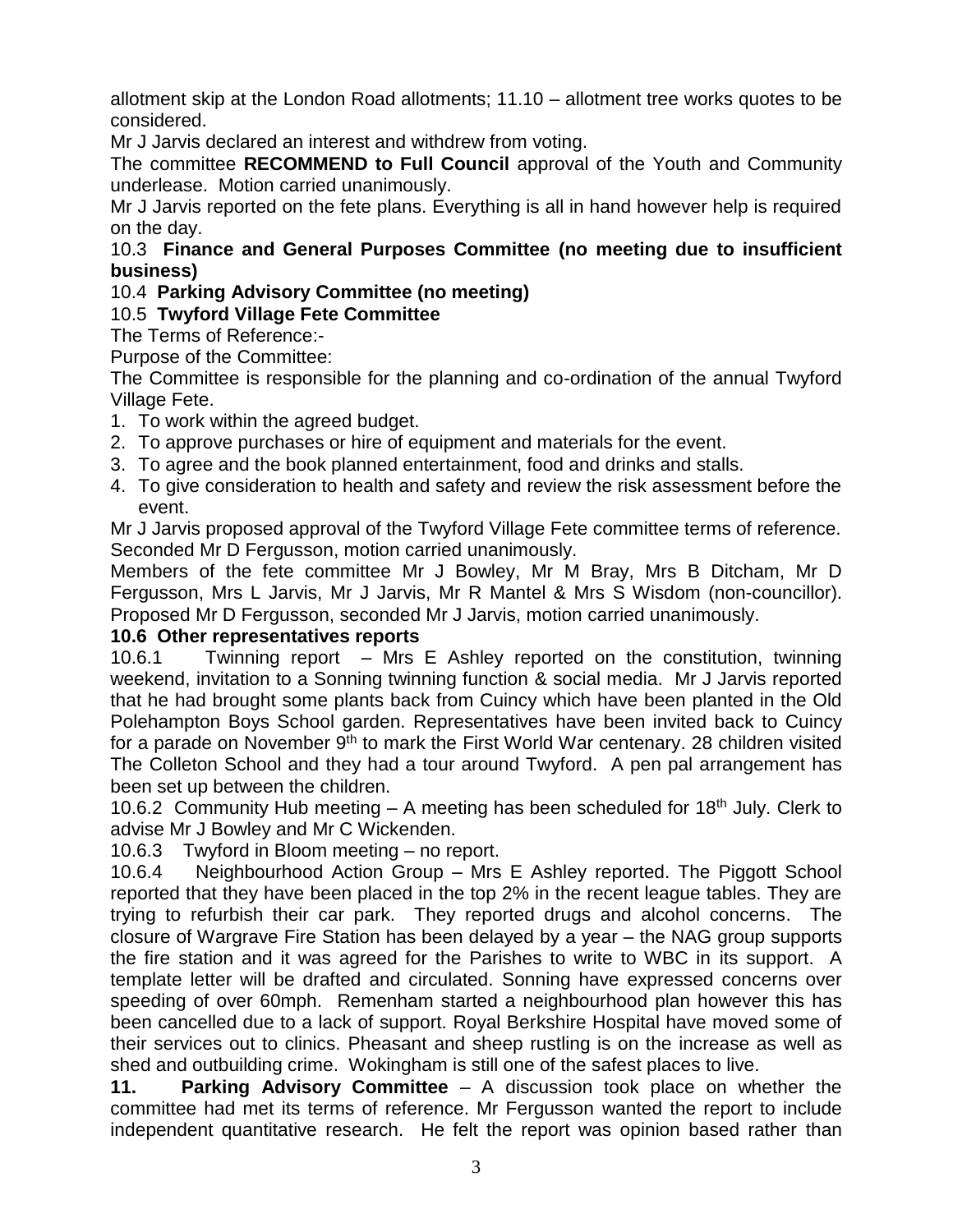allotment skip at the London Road allotments; 11.10 – allotment tree works quotes to be considered.

Mr J Jarvis declared an interest and withdrew from voting.

The committee **RECOMMEND to Full Council** approval of the Youth and Community underlease. Motion carried unanimously.

Mr J Jarvis reported on the fete plans. Everything is all in hand however help is required on the day.

### 10.3 **Finance and General Purposes Committee (no meeting due to insufficient business)**

## 10.4 **Parking Advisory Committee (no meeting)**

## 10.5 **Twyford Village Fete Committee**

The Terms of Reference:-

Purpose of the Committee:

The Committee is responsible for the planning and co-ordination of the annual Twyford Village Fete.

- 1. To work within the agreed budget.
- 2. To approve purchases or hire of equipment and materials for the event.
- 3. To agree and the book planned entertainment, food and drinks and stalls.
- 4. To give consideration to health and safety and review the risk assessment before the event.

Mr J Jarvis proposed approval of the Twyford Village Fete committee terms of reference. Seconded Mr D Fergusson, motion carried unanimously.

Members of the fete committee Mr J Bowley, Mr M Bray, Mrs B Ditcham, Mr D Fergusson, Mrs L Jarvis, Mr J Jarvis, Mr R Mantel & Mrs S Wisdom (non-councillor). Proposed Mr D Fergusson, seconded Mr J Jarvis, motion carried unanimously.

## **10.6 Other representatives reports**

10.6.1 Twinning report – Mrs E Ashley reported on the constitution, twinning weekend, invitation to a Sonning twinning function & social media. Mr J Jarvis reported that he had brought some plants back from Cuincy which have been planted in the Old Polehampton Boys School garden. Representatives have been invited back to Cuincy for a parade on November 9<sup>th</sup> to mark the First World War centenary. 28 children visited The Colleton School and they had a tour around Twyford. A pen pal arrangement has been set up between the children.

10.6.2 Community Hub meeting  $-$  A meeting has been scheduled for 18<sup>th</sup> July. Clerk to advise Mr J Bowley and Mr C Wickenden.

10.6.3 Twyford in Bloom meeting – no report.

10.6.4 Neighbourhood Action Group – Mrs E Ashley reported. The Piggott School reported that they have been placed in the top 2% in the recent league tables. They are trying to refurbish their car park. They reported drugs and alcohol concerns. The closure of Wargrave Fire Station has been delayed by a year – the NAG group supports the fire station and it was agreed for the Parishes to write to WBC in its support. A template letter will be drafted and circulated. Sonning have expressed concerns over speeding of over 60mph. Remenham started a neighbourhood plan however this has been cancelled due to a lack of support. Royal Berkshire Hospital have moved some of their services out to clinics. Pheasant and sheep rustling is on the increase as well as shed and outbuilding crime. Wokingham is still one of the safest places to live.

**11. Parking Advisory Committee** – A discussion took place on whether the committee had met its terms of reference. Mr Fergusson wanted the report to include independent quantitative research. He felt the report was opinion based rather than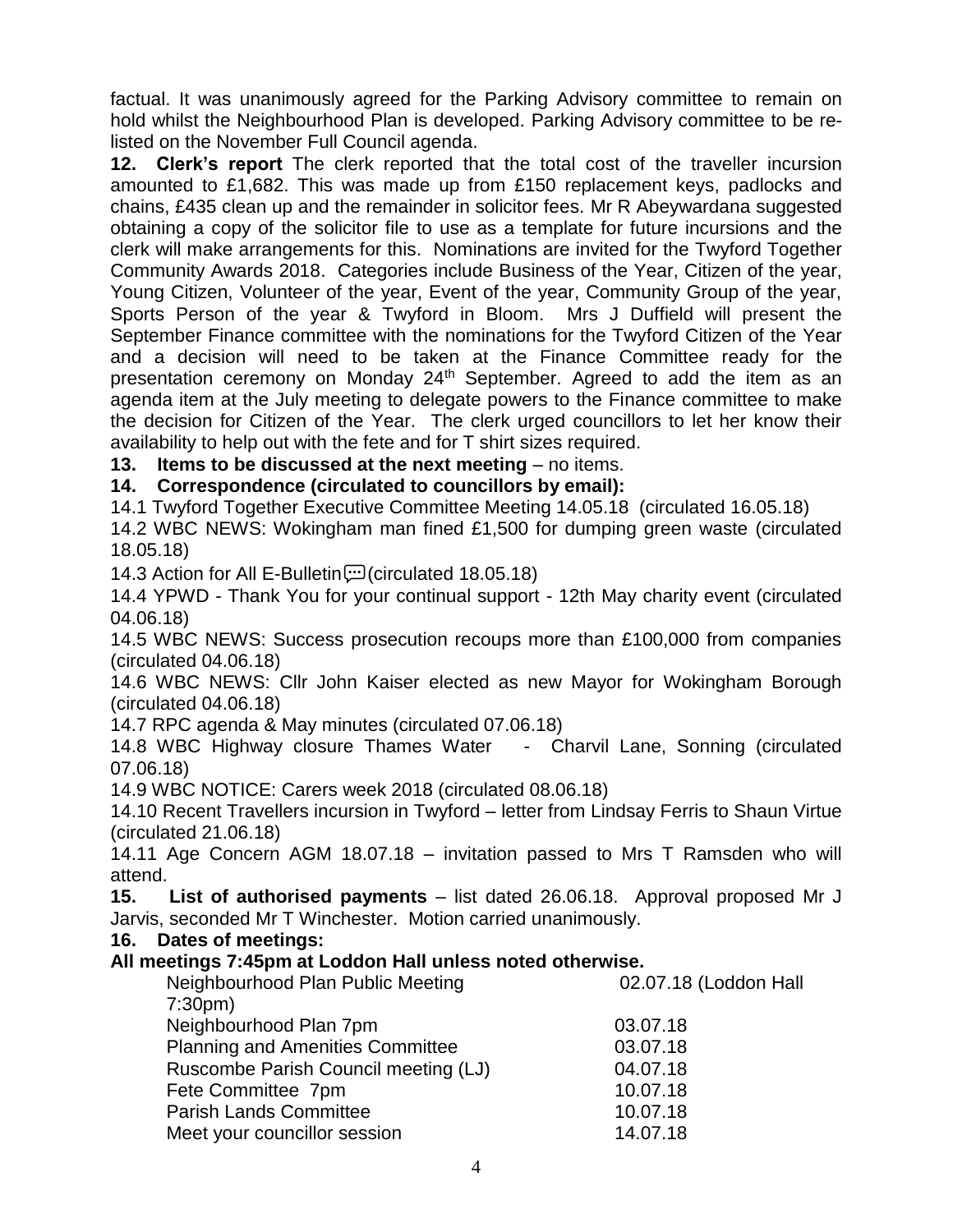factual. It was unanimously agreed for the Parking Advisory committee to remain on hold whilst the Neighbourhood Plan is developed. Parking Advisory committee to be relisted on the November Full Council agenda.

**12. Clerk's report** The clerk reported that the total cost of the traveller incursion amounted to £1,682. This was made up from £150 replacement keys, padlocks and chains, £435 clean up and the remainder in solicitor fees. Mr R Abeywardana suggested obtaining a copy of the solicitor file to use as a template for future incursions and the clerk will make arrangements for this. Nominations are invited for the Twyford Together Community Awards 2018. Categories include Business of the Year, Citizen of the year, Young Citizen, Volunteer of the year, Event of the year, Community Group of the year, Sports Person of the year & Twyford in Bloom. Mrs J Duffield will present the September Finance committee with the nominations for the Twyford Citizen of the Year and a decision will need to be taken at the Finance Committee ready for the presentation ceremony on Monday 24<sup>th</sup> September. Agreed to add the item as an agenda item at the July meeting to delegate powers to the Finance committee to make the decision for Citizen of the Year. The clerk urged councillors to let her know their availability to help out with the fete and for T shirt sizes required.

### **13. Items to be discussed at the next meeting** – no items.

**14. Correspondence (circulated to councillors by email):**

14.1 Twyford Together Executive Committee Meeting 14.05.18 (circulated 16.05.18)

14.2 WBC NEWS: Wokingham man fined £1,500 for dumping green waste (circulated 18.05.18)

14.3 Action for All E-Bulletin $\Xi$  (circulated 18.05.18)

14.4 YPWD - Thank You for your continual support - 12th May charity event (circulated 04.06.18)

14.5 WBC NEWS: Success prosecution recoups more than £100,000 from companies (circulated 04.06.18)

14.6 WBC NEWS: Cllr John Kaiser elected as new Mayor for Wokingham Borough (circulated 04.06.18)

14.7 RPC agenda & May minutes (circulated 07.06.18)

14.8 WBC Highway closure Thames Water - Charvil Lane, Sonning (circulated 07.06.18)

14.9 WBC NOTICE: Carers week 2018 (circulated 08.06.18)

14.10 Recent Travellers incursion in Twyford – letter from Lindsay Ferris to Shaun Virtue (circulated 21.06.18)

14.11 Age Concern AGM 18.07.18 – invitation passed to Mrs T Ramsden who will attend.

**15. List of authorised payments** – list dated 26.06.18. Approval proposed Mr J Jarvis, seconded Mr T Winchester. Motion carried unanimously.

**16. Dates of meetings:**

### **All meetings 7:45pm at Loddon Hall unless noted otherwise.**

| Neighbourhood Plan Public Meeting       | 02.07.18 (Loddon Hall |
|-----------------------------------------|-----------------------|
| 7:30 <sub>pm</sub>                      |                       |
| Neighbourhood Plan 7pm                  | 03.07.18              |
| <b>Planning and Amenities Committee</b> | 03.07.18              |
| Ruscombe Parish Council meeting (LJ)    | 04.07.18              |
| Fete Committee 7pm                      | 10.07.18              |
| <b>Parish Lands Committee</b>           | 10.07.18              |
| Meet your councillor session            | 14.07.18              |